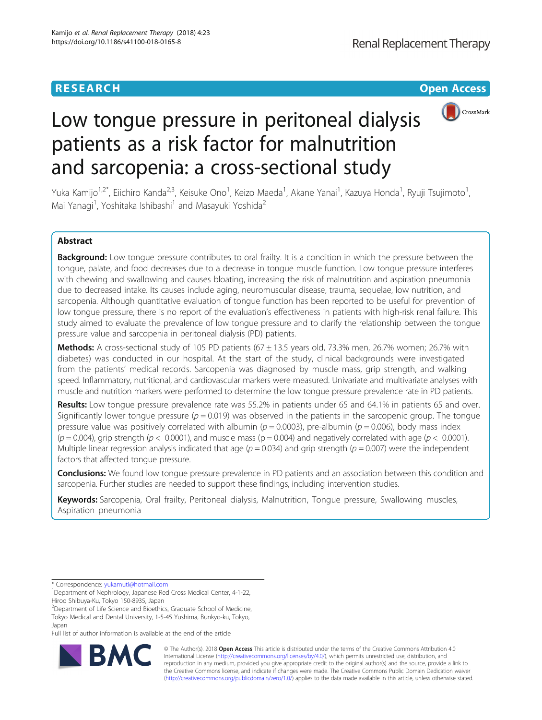## **RESEARCH CHINESE ARCH CHINESE ARCHITECT ARCHITECT ARCHITECT ARCHITECT ARCHITECT ARCHITECT ARCHITECT ARCHITECT ARCHITECT ARCHITECT ARCHITECT ARCHITECT ARCHITECT ARCHITECT ARCHITECT ARCHITECT ARCHITECT ARCHITECT ARCHITE**



# Low tongue pressure in peritoneal dialysis patients as a risk factor for malnutrition and sarcopenia: a cross-sectional study

Yuka Kamijo<sup>1,2\*</sup>, Eiichiro Kanda<sup>2,3</sup>, Keisuke Ono<sup>1</sup>, Keizo Maeda<sup>1</sup>, Akane Yanai<sup>1</sup>, Kazuya Honda<sup>1</sup>, Ryuji Tsujimoto<sup>1</sup> , Mai Yanagi<sup>1</sup>, Yoshitaka Ishibashi<sup>1</sup> and Masayuki Yoshida<sup>2</sup>

## Abstract

Background: Low tongue pressure contributes to oral frailty. It is a condition in which the pressure between the tongue, palate, and food decreases due to a decrease in tongue muscle function. Low tongue pressure interferes with chewing and swallowing and causes bloating, increasing the risk of malnutrition and aspiration pneumonia due to decreased intake. Its causes include aging, neuromuscular disease, trauma, sequelae, low nutrition, and sarcopenia. Although quantitative evaluation of tongue function has been reported to be useful for prevention of low tongue pressure, there is no report of the evaluation's effectiveness in patients with high-risk renal failure. This study aimed to evaluate the prevalence of low tongue pressure and to clarify the relationship between the tongue pressure value and sarcopenia in peritoneal dialysis (PD) patients.

Methods: A cross-sectional study of 105 PD patients (67  $\pm$  13.5 years old, 73.3% men, 26.7% women; 26.7% with diabetes) was conducted in our hospital. At the start of the study, clinical backgrounds were investigated from the patients' medical records. Sarcopenia was diagnosed by muscle mass, grip strength, and walking speed. Inflammatory, nutritional, and cardiovascular markers were measured. Univariate and multivariate analyses with muscle and nutrition markers were performed to determine the low tongue pressure prevalence rate in PD patients.

Results: Low tongue pressure prevalence rate was 55.2% in patients under 65 and 64.1% in patients 65 and over. Significantly lower tongue pressure ( $p = 0.019$ ) was observed in the patients in the sarcopenic group. The tongue pressure value was positively correlated with albumin ( $p = 0.0003$ ), pre-albumin ( $p = 0.006$ ), body mass index  $(p = 0.004)$ , grip strength ( $p < 0.0001$ ), and muscle mass ( $p = 0.004$ ) and negatively correlated with age ( $p < 0.0001$ ). Multiple linear regression analysis indicated that age ( $p = 0.034$ ) and grip strength ( $p = 0.007$ ) were the independent factors that affected tongue pressure.

Conclusions: We found low tongue pressure prevalence in PD patients and an association between this condition and sarcopenia. Further studies are needed to support these findings, including intervention studies.

Keywords: Sarcopenia, Oral frailty, Peritoneal dialysis, Malnutrition, Tonque pressure, Swallowing muscles, Aspiration pneumonia

\* Correspondence: [yukamuti@hotmail.com](mailto:yukamuti@hotmail.com) <sup>1</sup>

Japan

Full list of author information is available at the end of the article



© The Author(s). 2018 Open Access This article is distributed under the terms of the Creative Commons Attribution 4.0 International License [\(http://creativecommons.org/licenses/by/4.0/](http://creativecommons.org/licenses/by/4.0/)), which permits unrestricted use, distribution, and reproduction in any medium, provided you give appropriate credit to the original author(s) and the source, provide a link to the Creative Commons license, and indicate if changes were made. The Creative Commons Public Domain Dedication waiver [\(http://creativecommons.org/publicdomain/zero/1.0/](http://creativecommons.org/publicdomain/zero/1.0/)) applies to the data made available in this article, unless otherwise stated.

<sup>&</sup>lt;sup>1</sup>Department of Nephrology, Japanese Red Cross Medical Center, 4-1-22, Hiroo Shibuya-Ku, Tokyo 150-8935, Japan

<sup>&</sup>lt;sup>2</sup> Department of Life Science and Bioethics, Graduate School of Medicine, Tokyo Medical and Dental University, 1-5-45 Yushima, Bunkyo-ku, Tokyo,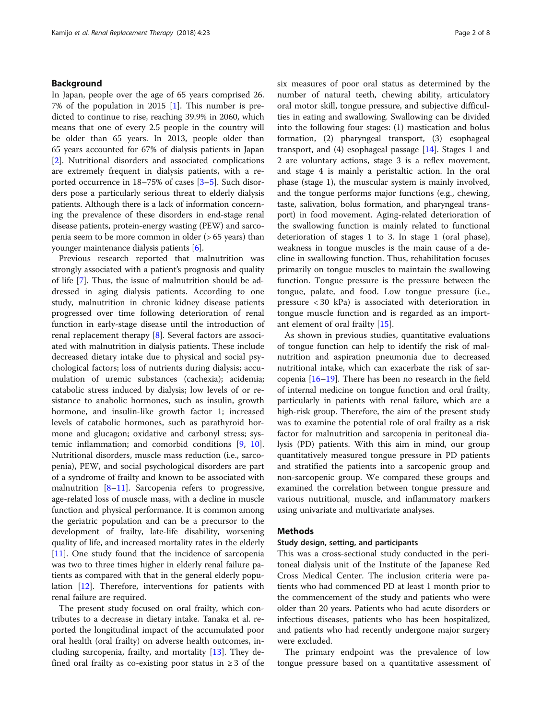## Background

In Japan, people over the age of 65 years comprised 26. 7% of the population in 2015 [[1\]](#page-7-0). This number is predicted to continue to rise, reaching 39.9% in 2060, which means that one of every 2.5 people in the country will be older than 65 years. In 2013, people older than 65 years accounted for 67% of dialysis patients in Japan [[2\]](#page-7-0). Nutritional disorders and associated complications are extremely frequent in dialysis patients, with a reported occurrence in 18–75% of cases [[3](#page-7-0)–[5](#page-7-0)]. Such disorders pose a particularly serious threat to elderly dialysis patients. Although there is a lack of information concerning the prevalence of these disorders in end-stage renal disease patients, protein-energy wasting (PEW) and sarcopenia seem to be more common in older (> 65 years) than younger maintenance dialysis patients [[6\]](#page-7-0).

Previous research reported that malnutrition was strongly associated with a patient's prognosis and quality of life [\[7](#page-7-0)]. Thus, the issue of malnutrition should be addressed in aging dialysis patients. According to one study, malnutrition in chronic kidney disease patients progressed over time following deterioration of renal function in early-stage disease until the introduction of renal replacement therapy [[8\]](#page-7-0). Several factors are associated with malnutrition in dialysis patients. These include decreased dietary intake due to physical and social psychological factors; loss of nutrients during dialysis; accumulation of uremic substances (cachexia); acidemia; catabolic stress induced by dialysis; low levels of or resistance to anabolic hormones, such as insulin, growth hormone, and insulin-like growth factor 1; increased levels of catabolic hormones, such as parathyroid hormone and glucagon; oxidative and carbonyl stress; systemic inflammation; and comorbid conditions [\[9,](#page-7-0) [10](#page-7-0)]. Nutritional disorders, muscle mass reduction (i.e., sarcopenia), PEW, and social psychological disorders are part of a syndrome of frailty and known to be associated with malnutrition [\[8](#page-7-0)–[11\]](#page-7-0). Sarcopenia refers to progressive, age-related loss of muscle mass, with a decline in muscle function and physical performance. It is common among the geriatric population and can be a precursor to the development of frailty, late-life disability, worsening quality of life, and increased mortality rates in the elderly [[11\]](#page-7-0). One study found that the incidence of sarcopenia was two to three times higher in elderly renal failure patients as compared with that in the general elderly population [[12\]](#page-7-0). Therefore, interventions for patients with renal failure are required.

The present study focused on oral frailty, which contributes to a decrease in dietary intake. Tanaka et al. reported the longitudinal impact of the accumulated poor oral health (oral frailty) on adverse health outcomes, including sarcopenia, frailty, and mortality [[13](#page-7-0)]. They defined oral frailty as co-existing poor status in  $\geq 3$  of the six measures of poor oral status as determined by the number of natural teeth, chewing ability, articulatory oral motor skill, tongue pressure, and subjective difficulties in eating and swallowing. Swallowing can be divided into the following four stages: (1) mastication and bolus formation, (2) pharyngeal transport, (3) esophageal transport, and (4) esophageal passage [\[14](#page-7-0)]. Stages 1 and 2 are voluntary actions, stage 3 is a reflex movement, and stage 4 is mainly a peristaltic action. In the oral phase (stage 1), the muscular system is mainly involved, and the tongue performs major functions (e.g., chewing, taste, salivation, bolus formation, and pharyngeal transport) in food movement. Aging-related deterioration of the swallowing function is mainly related to functional deterioration of stages 1 to 3. In stage 1 (oral phase), weakness in tongue muscles is the main cause of a decline in swallowing function. Thus, rehabilitation focuses primarily on tongue muscles to maintain the swallowing function. Tongue pressure is the pressure between the tongue, palate, and food. Low tongue pressure (i.e., pressure < 30 kPa) is associated with deterioration in tongue muscle function and is regarded as an important element of oral frailty [[15\]](#page-7-0).

As shown in previous studies, quantitative evaluations of tongue function can help to identify the risk of malnutrition and aspiration pneumonia due to decreased nutritional intake, which can exacerbate the risk of sarcopenia [[16](#page-7-0)–[19](#page-7-0)]. There has been no research in the field of internal medicine on tongue function and oral frailty, particularly in patients with renal failure, which are a high-risk group. Therefore, the aim of the present study was to examine the potential role of oral frailty as a risk factor for malnutrition and sarcopenia in peritoneal dialysis (PD) patients. With this aim in mind, our group quantitatively measured tongue pressure in PD patients and stratified the patients into a sarcopenic group and non-sarcopenic group. We compared these groups and examined the correlation between tongue pressure and various nutritional, muscle, and inflammatory markers using univariate and multivariate analyses.

## Methods

#### Study design, setting, and participants

This was a cross-sectional study conducted in the peritoneal dialysis unit of the Institute of the Japanese Red Cross Medical Center. The inclusion criteria were patients who had commenced PD at least 1 month prior to the commencement of the study and patients who were older than 20 years. Patients who had acute disorders or infectious diseases, patients who has been hospitalized, and patients who had recently undergone major surgery were excluded.

The primary endpoint was the prevalence of low tongue pressure based on a quantitative assessment of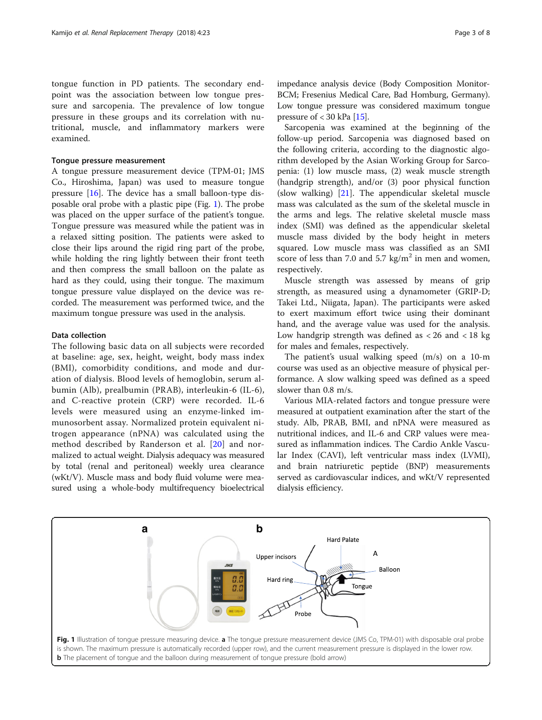tongue function in PD patients. The secondary endpoint was the association between low tongue pressure and sarcopenia. The prevalence of low tongue pressure in these groups and its correlation with nutritional, muscle, and inflammatory markers were examined.

## Tongue pressure measurement

A tongue pressure measurement device (TPM-01; JMS Co., Hiroshima, Japan) was used to measure tongue pressure [\[16](#page-7-0)]. The device has a small balloon-type disposable oral probe with a plastic pipe (Fig. 1). The probe was placed on the upper surface of the patient's tongue. Tongue pressure was measured while the patient was in a relaxed sitting position. The patients were asked to close their lips around the rigid ring part of the probe, while holding the ring lightly between their front teeth and then compress the small balloon on the palate as hard as they could, using their tongue. The maximum tongue pressure value displayed on the device was recorded. The measurement was performed twice, and the maximum tongue pressure was used in the analysis.

## Data collection

The following basic data on all subjects were recorded at baseline: age, sex, height, weight, body mass index (BMI), comorbidity conditions, and mode and duration of dialysis. Blood levels of hemoglobin, serum albumin (Alb), prealbumin (PRAB), interleukin-6 (IL-6), and C-reactive protein (CRP) were recorded. IL-6 levels were measured using an enzyme-linked immunosorbent assay. Normalized protein equivalent nitrogen appearance (nPNA) was calculated using the method described by Randerson et al. [[20](#page-7-0)] and normalized to actual weight. Dialysis adequacy was measured by total (renal and peritoneal) weekly urea clearance (wKt/V). Muscle mass and body fluid volume were measured using a whole-body multifrequency bioelectrical

impedance analysis device (Body Composition Monitor-BCM; Fresenius Medical Care, Bad Homburg, Germany). Low tongue pressure was considered maximum tongue pressure of  $<$  30 kPa [\[15\]](#page-7-0).

Sarcopenia was examined at the beginning of the follow-up period. Sarcopenia was diagnosed based on the following criteria, according to the diagnostic algorithm developed by the Asian Working Group for Sarcopenia: (1) low muscle mass, (2) weak muscle strength (handgrip strength), and/or (3) poor physical function (slow walking) [[21](#page-7-0)]. The appendicular skeletal muscle mass was calculated as the sum of the skeletal muscle in the arms and legs. The relative skeletal muscle mass index (SMI) was defined as the appendicular skeletal muscle mass divided by the body height in meters squared. Low muscle mass was classified as an SMI score of less than 7.0 and 5.7 kg/m<sup>2</sup> in men and women, respectively.

Muscle strength was assessed by means of grip strength, as measured using a dynamometer (GRIP-D; Takei Ltd., Niigata, Japan). The participants were asked to exert maximum effort twice using their dominant hand, and the average value was used for the analysis. Low handgrip strength was defined as < 26 and < 18 kg for males and females, respectively.

The patient's usual walking speed (m/s) on a 10-m course was used as an objective measure of physical performance. A slow walking speed was defined as a speed slower than 0.8 m/s.

Various MIA-related factors and tongue pressure were measured at outpatient examination after the start of the study. Alb, PRAB, BMI, and nPNA were measured as nutritional indices, and IL-6 and CRP values were measured as inflammation indices. The Cardio Ankle Vascular Index (CAVI), left ventricular mass index (LVMI), and brain natriuretic peptide (BNP) measurements served as cardiovascular indices, and wKt/V represented dialysis efficiency.

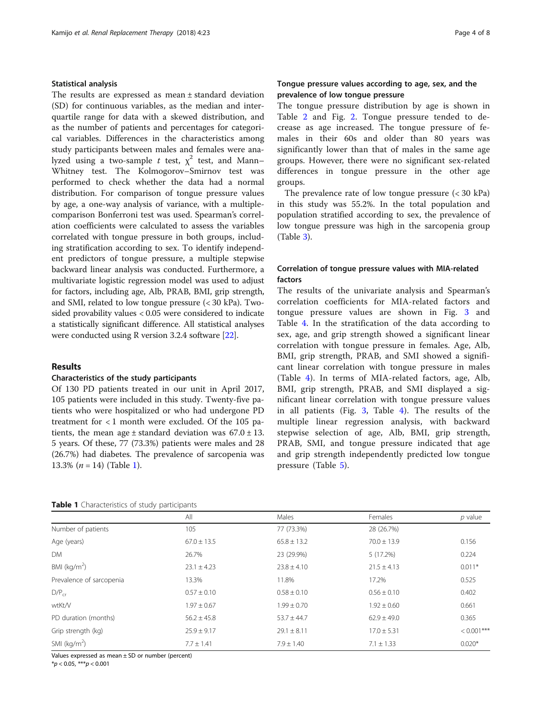## Statistical analysis

The results are expressed as mean ± standard deviation (SD) for continuous variables, as the median and interquartile range for data with a skewed distribution, and as the number of patients and percentages for categorical variables. Differences in the characteristics among study participants between males and females were analyzed using a two-sample t test,  $\chi^2$  test, and Mann– Whitney test. The Kolmogorov–Smirnov test was performed to check whether the data had a normal distribution. For comparison of tongue pressure values by age, a one-way analysis of variance, with a multiplecomparison Bonferroni test was used. Spearman's correlation coefficients were calculated to assess the variables correlated with tongue pressure in both groups, including stratification according to sex. To identify independent predictors of tongue pressure, a multiple stepwise backward linear analysis was conducted. Furthermore, a multivariate logistic regression model was used to adjust for factors, including age, Alb, PRAB, BMI, grip strength, and SMI, related to low tongue pressure (< 30 kPa). Twosided provability values < 0.05 were considered to indicate a statistically significant difference. All statistical analyses were conducted using R version 3.2.4 software [\[22\]](#page-7-0).

## Results

## Characteristics of the study participants

Of 130 PD patients treated in our unit in April 2017, 105 patients were included in this study. Twenty-five patients who were hospitalized or who had undergone PD treatment for < 1 month were excluded. Of the 105 patients, the mean age  $\pm$  standard deviation was  $67.0 \pm 13$ . 5 years. Of these, 77 (73.3%) patients were males and 28 (26.7%) had diabetes. The prevalence of sarcopenia was 13.3%  $(n = 14)$  (Table 1).

## Tongue pressure values according to age, sex, and the prevalence of low tongue pressure

The tongue pressure distribution by age is shown in Table [2](#page-4-0) and Fig. [2](#page-4-0). Tongue pressure tended to decrease as age increased. The tongue pressure of females in their 60s and older than 80 years was significantly lower than that of males in the same age groups. However, there were no significant sex-related differences in tongue pressure in the other age groups.

The prevalence rate of low tongue pressure (< 30 kPa) in this study was 55.2%. In the total population and population stratified according to sex, the prevalence of low tongue pressure was high in the sarcopenia group (Table [3\)](#page-4-0).

## Correlation of tongue pressure values with MIA-related factors

The results of the univariate analysis and Spearman's correlation coefficients for MIA-related factors and tongue pressure values are shown in Fig. [3](#page-5-0) and Table [4.](#page-6-0) In the stratification of the data according to sex, age, and grip strength showed a significant linear correlation with tongue pressure in females. Age, Alb, BMI, grip strength, PRAB, and SMI showed a significant linear correlation with tongue pressure in males (Table [4\)](#page-6-0). In terms of MIA-related factors, age, Alb, BMI, grip strength, PRAB, and SMI displayed a significant linear correlation with tongue pressure values in all patients (Fig. [3,](#page-5-0) Table [4](#page-6-0)). The results of the multiple linear regression analysis, with backward stepwise selection of age, Alb, BMI, grip strength, PRAB, SMI, and tongue pressure indicated that age and grip strength independently predicted low tongue pressure (Table [5](#page-6-0)).

| Table 1 Characteristics of study participants |  |  |  |  |
|-----------------------------------------------|--|--|--|--|
|-----------------------------------------------|--|--|--|--|

|                          | All             | Males           | Females         | $p$ value     |
|--------------------------|-----------------|-----------------|-----------------|---------------|
| Number of patients       | 105             | 77 (73.3%)      | 28 (26.7%)      |               |
| Age (years)              | $67.0 \pm 13.5$ | $65.8 \pm 13.2$ | $70.0 \pm 13.9$ | 0.156         |
| DM.                      | 26.7%           | 23 (29.9%)      | 5 (17.2%)       | 0.224         |
| BMI ( $kg/m2$ )          | $23.1 \pm 4.23$ | $23.8 \pm 4.10$ | $21.5 \pm 4.13$ | $0.011*$      |
| Prevalence of sarcopenia | 13.3%           | 11.8%           | 17.2%           | 0.525         |
| $D/P_{cr}$               | $0.57 \pm 0.10$ | $0.58 \pm 0.10$ | $0.56 \pm 0.10$ | 0.402         |
| wtKt/V                   | $1.97 \pm 0.67$ | $1.99 \pm 0.70$ | $1.92 \pm 0.60$ | 0.661         |
| PD duration (months)     | $56.2 \pm 45.8$ | $53.7 + 44.7$   | $62.9 + 49.0$   | 0.365         |
| Grip strength (kg)       | $25.9 \pm 9.17$ | $29.1 \pm 8.11$ | $17.0 \pm 5.31$ | $< 0.001$ *** |
| SMI ( $kg/m2$ )          | $7.7 \pm 1.41$  | $7.9 \pm 1.40$  | $7.1 \pm 1.33$  | $0.020*$      |

Values expressed as mean ± SD or number (percent)

 $*p < 0.05, **p < 0.001$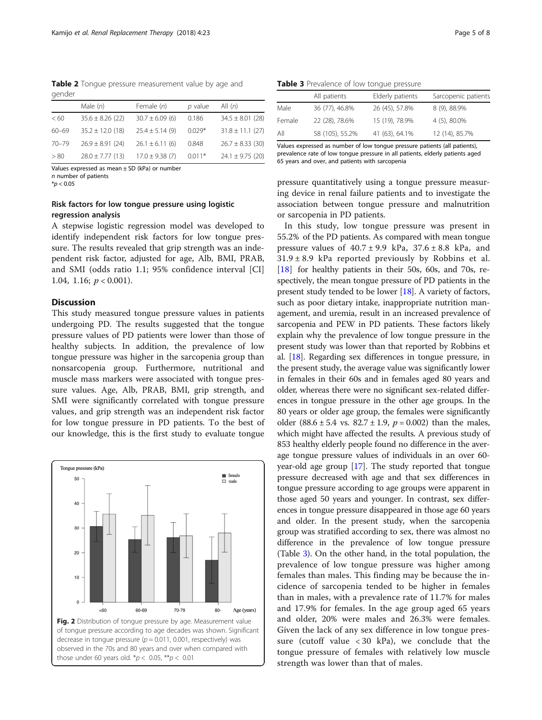<span id="page-4-0"></span>Table 2 Tonque pressure measurement value by age and gender

|           | Male $(n)$           | Female (n)          | $p$ value | All $(n)$            |
|-----------|----------------------|---------------------|-----------|----------------------|
| < 60      | $35.6 \pm 8.26$ (22) | $30.7 \pm 6.09$ (6) | 0.186     | $34.5 \pm 8.01$ (28) |
| $60 - 69$ | $35.2 \pm 12.0$ (18) | $25.4 \pm 5.14$ (9) | $0.029*$  | $31.8 \pm 11.1$ (27) |
| $70 - 79$ | $26.9 \pm 8.91$ (24) | $26.1 \pm 6.11$ (6) | 0.848     | $26.7 \pm 8.33$ (30) |
| > 80      | $28.0 \pm 7.77$ (13) | $17.0 \pm 9.38$ (7) | $0.011*$  | $24.1 \pm 9.75$ (20) |

Values expressed as mean  $\pm$  SD (kPa) or number n number of patients

 $*$ *p* < 0.05

## Risk factors for low tongue pressure using logistic regression analysis

A stepwise logistic regression model was developed to identify independent risk factors for low tongue pressure. The results revealed that grip strength was an independent risk factor, adjusted for age, Alb, BMI, PRAB, and SMI (odds ratio 1.1; 95% confidence interval [CI] 1.04, 1.16;  $p < 0.001$ ).

## **Discussion**

This study measured tongue pressure values in patients undergoing PD. The results suggested that the tongue pressure values of PD patients were lower than those of healthy subjects. In addition, the prevalence of low tongue pressure was higher in the sarcopenia group than nonsarcopenia group. Furthermore, nutritional and muscle mass markers were associated with tongue pressure values. Age, Alb, PRAB, BMI, grip strength, and SMI were significantly correlated with tongue pressure values, and grip strength was an independent risk factor for low tongue pressure in PD patients. To the best of our knowledge, this is the first study to evaluate tongue



Table 3 Prevalence of low tonque pressure

|        | All patients    | Elderly patients | Sarcopenic patients |
|--------|-----------------|------------------|---------------------|
| Male   | 36 (77), 46.8%  | 26 (45), 57.8%   | 8 (9), 88.9%        |
| Female | 22 (28), 78.6%  | 15 (19), 78.9%   | 4 (5), 80.0%        |
| All    | 58 (105), 55.2% | 41 (63), 64.1%   | 12 (14), 85.7%      |

Values expressed as number of low tongue pressure patients (all patients), prevalence rate of low tongue pressure in all patients, elderly patients aged 65 years and over, and patients with sarcopenia

pressure quantitatively using a tongue pressure measuring device in renal failure patients and to investigate the association between tongue pressure and malnutrition or sarcopenia in PD patients.

In this study, low tongue pressure was present in 55.2% of the PD patients. As compared with mean tongue pressure values of  $40.7 \pm 9.9$  kPa,  $37.6 \pm 8.8$  kPa, and  $31.9 \pm 8.9$  kPa reported previously by Robbins et al. [[18](#page-7-0)] for healthy patients in their 50s, 60s, and 70s, respectively, the mean tongue pressure of PD patients in the present study tended to be lower [[18](#page-7-0)]. A variety of factors, such as poor dietary intake, inappropriate nutrition management, and uremia, result in an increased prevalence of sarcopenia and PEW in PD patients. These factors likely explain why the prevalence of low tongue pressure in the present study was lower than that reported by Robbins et al. [[18](#page-7-0)]. Regarding sex differences in tongue pressure, in the present study, the average value was significantly lower in females in their 60s and in females aged 80 years and older, whereas there were no significant sex-related differences in tongue pressure in the other age groups. In the 80 years or older age group, the females were significantly older (88.6 ± 5.4 vs. 82.7 ± 1.9,  $p = 0.002$ ) than the males, which might have affected the results. A previous study of 853 healthy elderly people found no difference in the average tongue pressure values of individuals in an over 60 year-old age group [\[17\]](#page-7-0). The study reported that tongue pressure decreased with age and that sex differences in tongue pressure according to age groups were apparent in those aged 50 years and younger. In contrast, sex differences in tongue pressure disappeared in those age 60 years and older. In the present study, when the sarcopenia group was stratified according to sex, there was almost no difference in the prevalence of low tongue pressure (Table 3). On the other hand, in the total population, the prevalence of low tongue pressure was higher among females than males. This finding may be because the incidence of sarcopenia tended to be higher in females than in males, with a prevalence rate of 11.7% for males and 17.9% for females. In the age group aged 65 years and older, 20% were males and 26.3% were females. Given the lack of any sex difference in low tongue pressure (cutoff value < 30 kPa), we conclude that the tongue pressure of females with relatively low muscle strength was lower than that of males.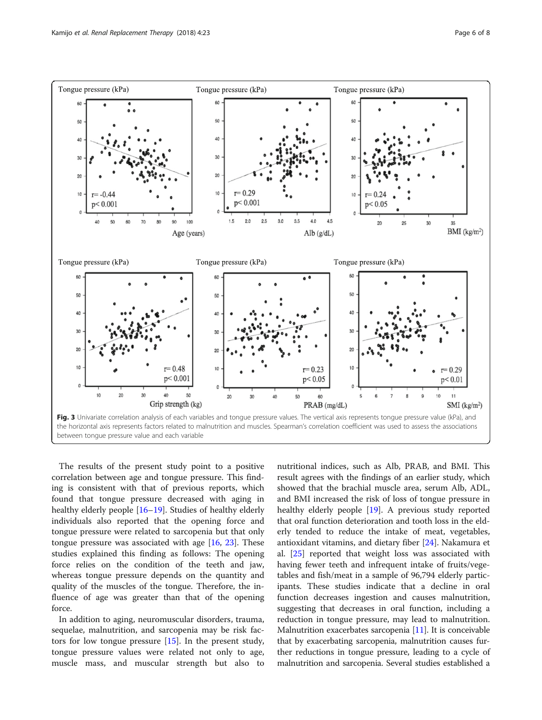<span id="page-5-0"></span>

The results of the present study point to a positive correlation between age and tongue pressure. This finding is consistent with that of previous reports, which found that tongue pressure decreased with aging in healthy elderly people [[16](#page-7-0)–[19](#page-7-0)]. Studies of healthy elderly individuals also reported that the opening force and tongue pressure were related to sarcopenia but that only tongue pressure was associated with age  $[16, 23]$  $[16, 23]$  $[16, 23]$  $[16, 23]$  $[16, 23]$ . These studies explained this finding as follows: The opening force relies on the condition of the teeth and jaw, whereas tongue pressure depends on the quantity and quality of the muscles of the tongue. Therefore, the influence of age was greater than that of the opening force.

In addition to aging, neuromuscular disorders, trauma, sequelae, malnutrition, and sarcopenia may be risk factors for low tongue pressure [[15\]](#page-7-0). In the present study, tongue pressure values were related not only to age, muscle mass, and muscular strength but also to

nutritional indices, such as Alb, PRAB, and BMI. This result agrees with the findings of an earlier study, which showed that the brachial muscle area, serum Alb, ADL, and BMI increased the risk of loss of tongue pressure in healthy elderly people [[19\]](#page-7-0). A previous study reported that oral function deterioration and tooth loss in the elderly tended to reduce the intake of meat, vegetables, antioxidant vitamins, and dietary fiber [\[24](#page-7-0)]. Nakamura et al. [\[25\]](#page-7-0) reported that weight loss was associated with having fewer teeth and infrequent intake of fruits/vegetables and fish/meat in a sample of 96,794 elderly participants. These studies indicate that a decline in oral function decreases ingestion and causes malnutrition, suggesting that decreases in oral function, including a reduction in tongue pressure, may lead to malnutrition. Malnutrition exacerbates sarcopenia [\[11\]](#page-7-0). It is conceivable that by exacerbating sarcopenia, malnutrition causes further reductions in tongue pressure, leading to a cycle of malnutrition and sarcopenia. Several studies established a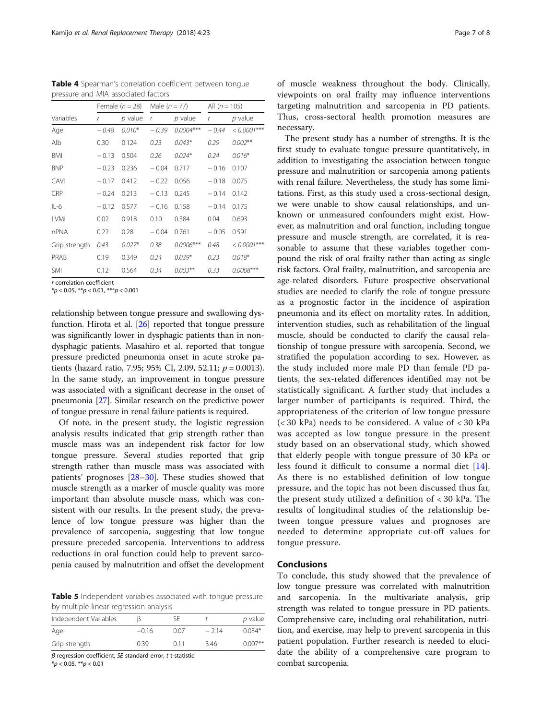<span id="page-6-0"></span>Table 4 Spearman's correlation coefficient between tonque pressure and MIA associated factors

|               |         | Female $(n = 28)$ | Male $(n = 77)$ |             | All $(n = 105)$ |                |
|---------------|---------|-------------------|-----------------|-------------|-----------------|----------------|
| Variables     | r       | $p$ value         | $\mathbf r$     | $p$ value   | r               | $p$ value      |
| Age           | $-0.48$ | $0.010*$          | $-0.39$         | $0.0004***$ | $-0.44$         | $< 0.0001***$  |
| Alb           | 0.30    | 0.124             | 0.23            | $0.043*$    | 0.29            | $0.002**$      |
| BMI           | $-0.13$ | 0.504             | 0.26            | $0.024*$    | 0.24            | $0.016*$       |
| <b>BNP</b>    | $-0.23$ | 0.236             | $-0.04$         | 0.717       | $-0.16$         | 0.107          |
| CAVI          | $-0.17$ | 0.412             | $-0.22$         | 0.056       | $-0.18$         | 0.075          |
| CRP           | $-0.24$ | 0.213             | $-0.13$         | 0.245       | $-0.14$         | 0.142          |
| $IL-6$        | $-0.12$ | 0.577             | $-0.16$         | 0.158       | $-0.14$         | 0.175          |
| <b>LVMI</b>   | 0.02    | 0.918             | 0.10            | 0.384       | 0.04            | 0.693          |
| nPNA          | 0.22    | 0.28              | $-0.04$         | 0.761       | $-0.05$         | 0.591          |
| Grip strength | 0.43    | $0.027*$          | 0.38            | $0.0006***$ | 0.48            | $< 0.0001$ *** |
| PRAB          | 0.19    | 0.349             | 0.24            | $0.039*$    | 0.23            | $0.018*$       |
| <b>SMI</b>    | 0.12    | 0.564             | 0.34            | $0.003***$  | 0.33            | $0.0008***$    |

r correlation coefficient

 $**p* < 0.05, ***p* < 0.01, ****p* < 0.001$ 

relationship between tongue pressure and swallowing dysfunction. Hirota et al. [\[26\]](#page-7-0) reported that tongue pressure was significantly lower in dysphagic patients than in nondysphagic patients. Masahiro et al. reported that tongue pressure predicted pneumonia onset in acute stroke patients (hazard ratio, 7.95; 95% CI, 2.09, 52.11;  $p = 0.0013$ ). In the same study, an improvement in tongue pressure was associated with a significant decrease in the onset of pneumonia [\[27\]](#page-7-0). Similar research on the predictive power of tongue pressure in renal failure patients is required.

Of note, in the present study, the logistic regression analysis results indicated that grip strength rather than muscle mass was an independent risk factor for low tongue pressure. Several studies reported that grip strength rather than muscle mass was associated with patients' prognoses [[28](#page-7-0)–[30](#page-7-0)]. These studies showed that muscle strength as a marker of muscle quality was more important than absolute muscle mass, which was consistent with our results. In the present study, the prevalence of low tongue pressure was higher than the prevalence of sarcopenia, suggesting that low tongue pressure preceded sarcopenia. Interventions to address reductions in oral function could help to prevent sarcopenia caused by malnutrition and offset the development

Table 5 Independent variables associated with tongue pressure by multiple linear regression analysis

| Independent Variables |         |      |        | p value    |
|-----------------------|---------|------|--------|------------|
| Age                   | $-0.16$ | N 07 | $-214$ | $0.034*$   |
| Grip strength         | በ 39    | በ 11 | 3.46   | $0.007***$ |

β regression coefficient, SE standard error, t t-statistic

 $*p < 0.05, **p < 0.01$ 

of muscle weakness throughout the body. Clinically, viewpoints on oral frailty may influence interventions targeting malnutrition and sarcopenia in PD patients. Thus, cross-sectoral health promotion measures are necessary.

The present study has a number of strengths. It is the first study to evaluate tongue pressure quantitatively, in addition to investigating the association between tongue pressure and malnutrition or sarcopenia among patients with renal failure. Nevertheless, the study has some limitations. First, as this study used a cross-sectional design, we were unable to show causal relationships, and unknown or unmeasured confounders might exist. However, as malnutrition and oral function, including tongue pressure and muscle strength, are correlated, it is reasonable to assume that these variables together compound the risk of oral frailty rather than acting as single risk factors. Oral frailty, malnutrition, and sarcopenia are age-related disorders. Future prospective observational studies are needed to clarify the role of tongue pressure as a prognostic factor in the incidence of aspiration pneumonia and its effect on mortality rates. In addition, intervention studies, such as rehabilitation of the lingual muscle, should be conducted to clarify the causal relationship of tongue pressure with sarcopenia. Second, we stratified the population according to sex. However, as the study included more male PD than female PD patients, the sex-related differences identified may not be statistically significant. A further study that includes a larger number of participants is required. Third, the appropriateness of the criterion of low tongue pressure (< 30 kPa) needs to be considered. A value of < 30 kPa was accepted as low tongue pressure in the present study based on an observational study, which showed that elderly people with tongue pressure of 30 kPa or less found it difficult to consume a normal diet [[14](#page-7-0)]. As there is no established definition of low tongue pressure, and the topic has not been discussed thus far, the present study utilized a definition of < 30 kPa. The results of longitudinal studies of the relationship between tongue pressure values and prognoses are needed to determine appropriate cut-off values for tongue pressure.

## Conclusions

To conclude, this study showed that the prevalence of low tongue pressure was correlated with malnutrition and sarcopenia. In the multivariate analysis, grip strength was related to tongue pressure in PD patients. Comprehensive care, including oral rehabilitation, nutrition, and exercise, may help to prevent sarcopenia in this patient population. Further research is needed to elucidate the ability of a comprehensive care program to combat sarcopenia.